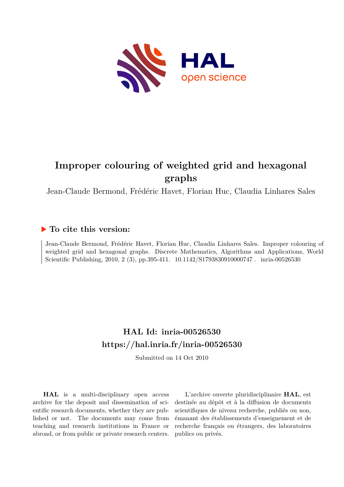

# **Improper colouring of weighted grid and hexagonal graphs**

Jean-Claude Bermond, Frédéric Havet, Florian Huc, Claudia Linhares Sales

## **To cite this version:**

Jean-Claude Bermond, Frédéric Havet, Florian Huc, Claudia Linhares Sales. Improper colouring of weighted grid and hexagonal graphs. Discrete Mathematics, Algorithms and Applications, World Scientific Publishing, 2010, 2 (3), pp.395-411. 10.1142/S1793830910000747. inria-00526530

## **HAL Id: inria-00526530 <https://hal.inria.fr/inria-00526530>**

Submitted on 14 Oct 2010

**HAL** is a multi-disciplinary open access archive for the deposit and dissemination of scientific research documents, whether they are published or not. The documents may come from teaching and research institutions in France or abroad, or from public or private research centers.

L'archive ouverte pluridisciplinaire **HAL**, est destinée au dépôt et à la diffusion de documents scientifiques de niveau recherche, publiés ou non, émanant des établissements d'enseignement et de recherche français ou étrangers, des laboratoires publics ou privés.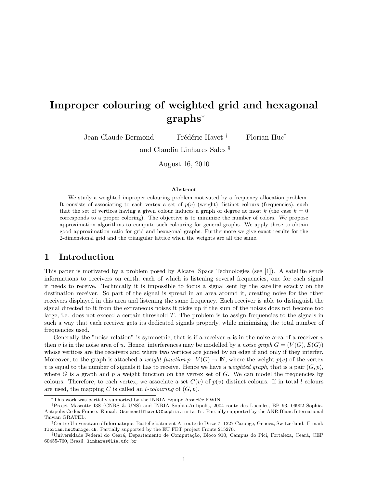## Improper colouring of weighted grid and hexagonal graphs<sup>∗</sup>

Jean-Claude Bermond<sup>†</sup> Frédéric Havet <sup>†</sup> Florian Huc<sup>‡</sup>

and Claudia Linhares Sales §

August 16, 2010

#### Abstract

We study a weighted improper colouring problem motivated by a frequency allocation problem. It consists of associating to each vertex a set of  $p(v)$  (weight) distinct colours (frequencies), such that the set of vertices having a given colour induces a graph of degree at most  $k$  (the case  $k = 0$ ) corresponds to a proper coloring). The objective is to minimize the number of colors. We propose approximation algorithms to compute such colouring for general graphs. We apply these to obtain good approximation ratio for grid and hexagonal graphs. Furthermore we give exact results for the 2-dimensional grid and the triangular lattice when the weights are all the same.

### 1 Introduction

This paper is motivated by a problem posed by Alcatel Space Technologies (see [1]). A satellite sends informations to receivers on earth, each of which is listening several frequencies, one for each signal it needs to receive. Technically it is impossible to focus a signal sent by the satellite exactly on the destination receiver. So part of the signal is spread in an area around it, creating noise for the other receivers displayed in this area and listening the same frequency. Each receiver is able to distinguish the signal directed to it from the extraneous noises it picks up if the sum of the noises does not become too large, i.e. does not exceed a certain threshold  $T$ . The problem is to assign frequencies to the signals in such a way that each receiver gets its dedicated signals properly, while minimizing the total number of frequencies used.

Generally the "noise relation" is symmetric, that is if a receiver  $u$  is in the noise area of a receiver  $v$ then v is in the noise area of u. Hence, interferences may be modelled by a *noise graph*  $G = (V(G), E(G))$ whose vertices are the receivers and where two vertices are joined by an edge if and only if they interfer. Moreover, to the graph is attached a *weight function*  $p: V(G) \to \mathbb{N}$ , where the weight  $p(v)$  of the vertex v is equal to the number of signals it has to receive. Hence we have a *weighted graph*, that is a pair  $(G, p)$ , where G is a graph and  $p$  a weight function on the vertex set of G. We can model the frequencies by colours. Therefore, to each vertex, we associate a set  $C(v)$  of  $p(v)$  distinct colours. If in total l colours are used, the mapping C is called an *l*-colouring of  $(G, p)$ .

<sup>\*</sup>This work was partially supported by the INRIA Equipe Associée EWIN

<sup>†</sup>Projet Mascotte I3S (CNRS & UNS) and INRIA Sophia-Antipolis, 2004 route des Lucioles, BP 93, 06902 Sophia-Antipolis Cedex France. E-mail: (bermond|fhavet)@sophia.inria.fr. Partially supported by the ANR Blanc International Taiwan GRATEL.

<sup>&</sup>lt;sup>‡</sup>Centre Universitaire dInformatique, Battelle bâtiment A, route de Drize 7, 1227 Carouge, Geneva, Switzerland. E-mail: florian.huc@unige.ch. Partially supported by the EU FET project Fronts 215270.

 $\S$ Universidade Federal do Ceará, Departamento de Computação, Bloco 910, Campus do Pici, Fortaleza, Ceará, CEP 60455-760, Brasil. linhares@lia.ufc.br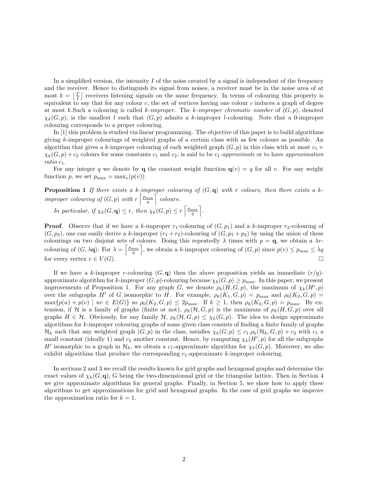In a simplified version, the intensity  $I$  of the noise created by a signal is independent of the frequency and the receiver. Hence to distinguish its signal from noises, a receiver must be in the noise area of at most  $k = \lfloor \frac{T}{I} \rfloor$  receivers listening signals on the same frequency. In terms of colouring this property is equivalent to say that for any colour  $c$ , the set of vertices having one colour  $c$  induces a graph of degree at most k.Such a colouring is called k*-improper*. The k*-improper chromatic number* of (G, p), denoted  $\chi_k(G, p)$ , is the smallest l such that  $(G, p)$  admits a k-improper l-colouring. Note that a 0-improper colouring corresponds to a proper colouring.

In [1] this problem is studied via linear programming. The objective of this paper is to build algorithms giving k-improper colourings of weighted graphs of a certain class with as few colours as possible. An algorithm that gives a k-improper colouring of each weighted graph  $(G, p)$  in this class with at most  $c_1 \times$  $\chi_k(G, p) + c_2$  colours for some constants  $c_1$  and  $c_2$ , is said to be  $c_1$ -approximate or to have approximation *ratio*  $c_1$ .

For any integer q we denote by **q** the constant weight function  $q(v) = q$  for all v. For any weight function p, we set  $p_{\text{max}} = \max_{v} (p(v)).$ 

Proposition 1 *If there exists a* k*-improper colouring of* (G, q) *with* r *colours, then there exists a* k*improper colouring of*  $(G, p)$  *with*  $r\left\lceil \frac{p_{\text{max}}}{q} \right\rceil$  *colours.* 

*In particular, if*  $\chi_k(G, \mathbf{q}) \leq r$ , then  $\chi_k(G, p) \leq r \left[ \frac{p_{\text{max}}}{q} \right]$ .

**Proof.** Observe that if we have a k-improper  $r_1$ -colouring of  $(G, p_1)$  and a k-improper  $r_2$ -colouring of  $(G, p_2)$ , one can easily derive a k-improper  $(r_1 + r_2)$ -colouring of  $(G, p_1 + p_2)$  by using the union of these colourings on two disjoint sets of colours. Doing this repeatedly  $\lambda$  times with  $p = q$ , we obtain a  $\lambda r$ colouring of  $(G, \lambda q)$ . For  $\lambda = \left\lceil \frac{p_{\max}}{q} \right\rceil$ , we obtain a k-improper colouring of  $(G, p)$  since  $p(v) \leq p_{\max} \leq \lambda q$ for every vertex  $v \in V(G)$ .

If we have a k-improper r-colouring  $(G, \mathbf{q})$  then the above proposition yields an immediate  $(r/q)$ approximate algorithm for k-improper  $(G, p)$ -colouring because  $\chi_k(G, p) \geq p_{\text{max}}$ . In this paper, we present improvements of Proposition 1. For any graph G, we denote  $\rho_k(H, G, p)$ , the maximum of  $\chi_k(H', p)$ over the subgraphs H' of G isomorphic to H. For example,  $\rho_k(K_1, G, p) = p_{\text{max}}$  and  $\rho_0(K_2, G, p) =$  $\max\{p(u) + p(v) \mid uv \in E(G)\}\$  so  $\rho_0(K_2, G, p) \leq 2p_{\text{max}}$ . If  $k \geq 1$ , then  $\rho_k(K_2, G, p) = p_{\text{max}}$ . By extension, if H is a family of graphs (finite or not),  $\rho_k(H, G, p)$  is the maximum of  $\rho_k(H, G, p)$  over all graphs  $H \in \mathcal{H}$ . Obviously, for any family  $\mathcal{H}$ ,  $\rho_k(\mathcal{H}, G, p) \leq \chi_k(G, p)$ . The idea to design approximate algorithms for k-improper colouring graphs of some given class consists of finding a finite family of graphs  $\mathcal{H}_k$  such that any weighted graph  $(G, p)$  in the class, satisfies  $\chi_k(G, p) \leq c_1 \cdot \rho_k(\mathcal{H}_k, G, p) + c_2$  with  $c_1$  a small constant (ideally 1) and  $c_2$  another constant. Hence, by computing  $\chi_k(H', p)$  for all the subgraphs H' isomorphic to a graph in  $\mathcal{H}_k$ , we obtain a c<sub>1</sub>-approximate algorithm for  $\chi_k(G, p)$ . Moreover, we also exhibit algorithms that produce the corresponding  $c_1$ -approximate k-improper colouring.

In sections 2 and 3 we recall the results known for grid graphs and hexagonal graphs and determine the exact values of  $\chi_k(G, \mathbf{q})$ , G being the two-dimensionnal grid or the triangular lattice. Then in Section 4 we give approximate algorithms for general graphs. Finally, in Section 5, we show how to apply these algorithms to get approximations for grid and hexagonal graphs. In the case of grid graphs we improve the approximation ratio for  $k = 1$ .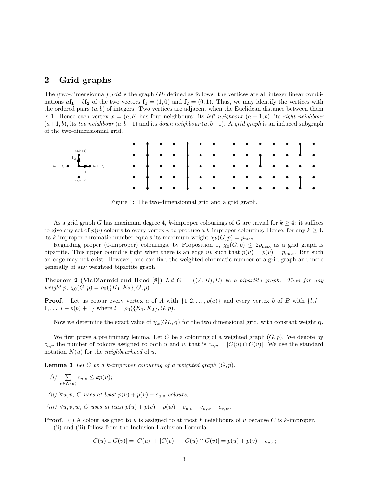## 2 Grid graphs

The (two-dimensionnal) *grid* is the graph GL defined as follows: the vertices are all integer linear combinations  $a\mathbf{f_1} + b\mathbf{f_2}$  of the two vectors  $\mathbf{f_1} = (1,0)$  and  $\mathbf{f_2} = (0,1)$ . Thus, we may identify the vertices with the ordered pairs  $(a, b)$  of integers. Two vertices are adjacent when the Euclidean distance between them is 1. Hence each vertex  $x = (a, b)$  has four neighbours: its *left neighbour*  $(a - 1, b)$ , its *right neighbour* (a+1, b), its *top neighbour* (a, b+1) and its *down neighbour* (a, b−1). A *grid graph* is an induced subgraph of the two-dimensionnal grid.



Figure 1: The two-dimensionnal grid and a grid graph.

As a grid graph G has maximum degree 4, k-improper colourings of G are trivial for  $k \geq 4$ : it suffices to give any set of  $p(v)$  colours to every vertex v to produce a k-improper colouring. Hence, for any  $k \geq 4$ , its k-improper chromatic number equals its maximum weight  $\chi_k(G, p) = p_{\text{max}}$ .

Regarding proper (0-improper) colourings, by Proposition 1,  $\chi_0(G, p) \leq 2p_{\text{max}}$  as a grid graph is bipartite. This upper bound is tight when there is an edge uv such that  $p(u) = p(v) = p_{\text{max}}$ . But such an edge may not exist. However, one can find the weighted chromatic number of a grid graph and more generally of any weighted bipartite graph.

**Theorem 2 (McDiarmid and Reed [8])** Let  $G = ((A, B), E)$  be a bipartite graph. Then for any *weight* p,  $\chi_0(G, p) = \rho_0(\lbrace K_1, K_2 \rbrace, G, p)$ .

**Proof.** Let us colour every vertex a of A with  $\{1, 2, \ldots, p(a)\}$  and every vertex b of B with  $\{l, l 1, \ldots, l - p(b) + 1$ } where  $l = \rho_0({K_1, K_2}, G, p)$ .

Now we determine the exact value of  $\chi_k(GL, \mathbf{q})$  for the two dimensional grid, with constant weight q.

We first prove a preliminary lemma. Let C be a colouring of a weighted graph  $(G, p)$ . We denote by  $c_{u,v}$  the number of colours assigned to both u and v, that is  $c_{u,v} = |C(u) \cap C(v)|$ . We use the standard notation  $N(u)$  for the *neighbourhood* of u.

**Lemma 3** Let C be a k-improper colouring of a weighted graph  $(G, p)$ .

- $(i) \sum$  $v \in N(u)$  $c_{u,v} \leq k p(u)$ ;
- *(ii)* ∀u, v, C uses at least  $p(u) + p(v) c_u$ , *colours*;
- *(iii)* ∀u, v, w, C uses at least  $p(u) + p(v) + p(w) c_{u,v} c_{u,w} c_{v,w}$ .

#### **Proof.** (i) A colour assigned to u is assigned to at most k neighbours of u because C is k-improper. (ii) and (iii) follow from the Inclusion-Exclusion Formula:

$$
|C(u) \cup C(v)| = |C(u)| + |C(v)| - |C(u) \cap C(v)| = p(u) + p(v) - c_{u,v};
$$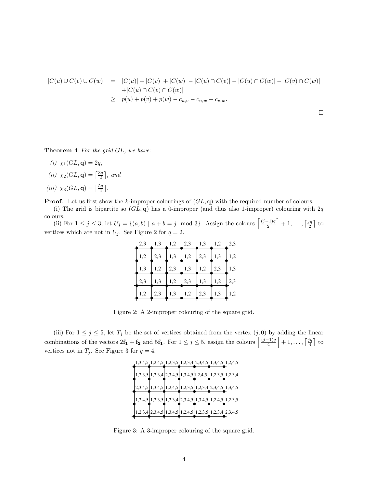$$
|C(u) \cup C(v) \cup C(w)| = |C(u)| + |C(v)| + |C(w)| - |C(u) \cap C(v)| - |C(u) \cap C(w)| - |C(v) \cap C(w)|
$$
  
+|C(u) \cap C(v) \cap C(w)|  

$$
\geq p(u) + p(v) + p(w) - c_{u,v} - c_{v,w}.
$$

 $\Box$ 

Theorem 4 *For the grid* GL*, we have:*

- *(i)*  $\chi_1(GL, \mathbf{q}) = 2q$ ,
- $(ii) \ \chi_2(GL, \mathbf{q}) = \left\lceil \frac{3q}{2} \right\rceil$ *, and*
- (*iii*)  $\chi_3(GL, \mathbf{q}) = \left\lceil \frac{5q}{4} \right\rceil$ .

**Proof.** Let us first show the k-improper colourings of  $(GL, q)$  with the required number of colours.

(i) The grid is bipartite so  $(GL, q)$  has a 0-improper (and thus also 1-improper) colouring with  $2q$ colours.

(ii) For  $1 \leq j \leq 3$ , let  $U_j = \{(a, b) \mid a + b = j \mod 3\}$ . Assign the colours  $\left\lceil \frac{(j-1)q}{2} \right\rceil + 1, \ldots, \left\lceil \frac{jq}{2} \right\rceil$  to vertices which are not in  $U_j$ . See Figure 2 for  $q = 2$ .

| 2,3 | 1,3 | 1,2 | 2,3 | 1,3 | 1,2 | 2,3 |
|-----|-----|-----|-----|-----|-----|-----|
| 1,2 | 2,3 | 1,3 | 1,2 | 2,3 | 1,3 | 1,2 |
| 1,3 | 1,2 | 2,3 | 1,3 | 1,2 | 2,3 | 1,3 |
| 2,3 | 1,3 | 1,2 | 2,3 | 1,3 | 1,2 | 2,3 |
| 1,2 | 2,3 | 1,3 | 1,2 | 2,3 | 1,3 | 1,2 |
|     |     |     |     |     |     |     |

Figure 2: A 2-improper colouring of the square grid.

(iii) For  $1 \leq j \leq 5$ , let  $T_j$  be the set of vertices obtained from the vertex  $(j, 0)$  by adding the linear combinations of the vectors  $2f_1 + f_2$  and  $5f_1$ . For  $1 \leq j \leq 5$ , assign the colours  $\left\lceil \frac{(j-1)q}{4} \right\rceil + 1, \ldots, \left\lceil \frac{jq}{4} \right\rceil$  to vertices not in  $T_j$ . See Figure 3 for  $q = 4$ .

|  |  | 1,3,4,5 1,2,4,5 1,2,3,5 1,2,3,4 2,3,4,5 1,3,4,5 1,2,4,5               |  |  |
|--|--|-----------------------------------------------------------------------|--|--|
|  |  | $1,2,3,5$   1,2,3,4   2,3,4,5   1,3,4,5   1,2,4,5   1,2,3,5   1,2,3,4 |  |  |
|  |  | 2,3,4,5 1,3,4,5 1,2,4,5 1,2,3,5 1,2,3,4 2,3,4,5 1,3,4,5               |  |  |
|  |  | $1,2,4,5$   1,2,3,5   1,2,3,4   2,3,4,5   1,3,4,5   1,2,4,5   1,2,3,5 |  |  |
|  |  | $1,2,3,4$ $2,3,4,5$ $1,3,4,5$ $1,2,4,5$ $1,2,3,5$ $1,2,3,4$ $2,3,4,5$ |  |  |
|  |  |                                                                       |  |  |

Figure 3: A 3-improper colouring of the square grid.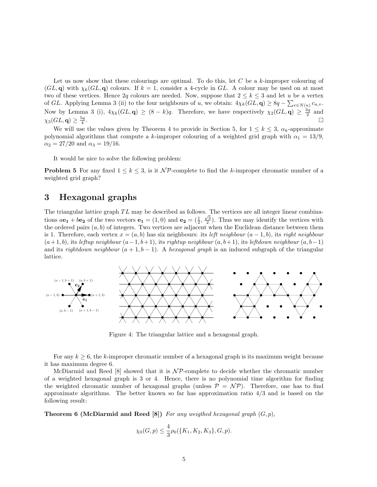Let us now show that these colourings are optimal. To do this, let  $C$  be a  $k$ -improper colouring of  $(GL, q)$  with  $\chi_k(GL, q)$  colours. If  $k = 1$ , consider a 4-cycle in GL. A colour may be used on at most two of these vertices. Hence 2q colours are needed. Now, suppose that  $2 \leq k \leq 3$  and let u be a vertex of *GL*. Applying Lemma 3 (ii) to the four neighbours of u, we obtain:  $4\chi_k(GL, \mathbf{q}) \geq 8q - \sum_{v \in N(u)} c_{u,v}$ . Now by Lemma 3 (i),  $4\chi_k(GL, \mathbf{q}) \geq (8-k)q$ . Therefore, we have respectively  $\chi_2(GL, \mathbf{q}) \geq \frac{3q}{2}$  and  $\chi_{3}(GL, \mathbf{q})\geq \frac{5q}{4}$ .

We will use the values given by Theorem 4 to provide in Section 5, for  $1 \leq k \leq 3$ ,  $\alpha_k$ -approximate polynomial algorithms that compute a k-improper colouring of a weighted grid graph with  $\alpha_1 = 13/9$ ,  $\alpha_2 = 27/20$  and  $\alpha_3 = 19/16$ .

It would be nice to solve the following problem:

**Problem 5** For any fixed  $1 \leq k \leq 3$ , is it  $N\mathcal{P}$ -complete to find the k-improper chromatic number of a weighted grid graph?

### 3 Hexagonal graphs

The triangular lattice graph  $TL$  may be described as follows. The vertices are all integer linear combinations  $a\mathbf{e}_1 + b\mathbf{e}_2$  of the two vectors  $\mathbf{e}_1 = (1,0)$  and  $\mathbf{e}_2 = (\frac{1}{2},\frac{\sqrt{3}}{2})$ . Thus we may identify the vertices with the ordered pairs  $(a, b)$  of integers. Two vertices are adjacent when the Euclidean distance between them is 1. Therefore, each vertex  $x = (a, b)$  has six neighbours: its *left neighbour*  $(a - 1, b)$ , its *right neighbour*  $(a+1, b)$ , its *leftup neighbour*  $(a-1, b+1)$ , its *rightup neighbour*  $(a, b+1)$ , its *leftdown neighbour*  $(a, b-1)$ and its *rightdown neighbour*  $(a + 1, b - 1)$ . A *hexagonal graph* is an induced subgraph of the triangular lattice.



Figure 4: The triangular lattice and a hexagonal graph.

For any  $k \geq 6$ , the k-improper chromatic number of a hexagonal graph is its maximum weight because it has maximum degree 6.

McDiarmid and Reed  $[8]$  showed that it is  $\mathcal{NP}$ -complete to decide whether the chromatic number of a weighted hexagonal graph is 3 or 4. Hence, there is no polynomial time algorithm for finding the weighted chromatic number of hexagonal graphs (unless  $\mathcal{P} = \mathcal{NP}$ ). Therefore, one has to find approximate algorithms. The better known so far has approximation ratio 4/3 and is based on the following result:

**Theorem 6 (McDiarmid and Reed [8])** *For any weigthed hexagonal graph*  $(G, p)$ *,* 

$$
\chi_0(G, p) \le \frac{4}{3}\rho_0(\lbrace K_1, K_2, K_3 \rbrace, G, p).
$$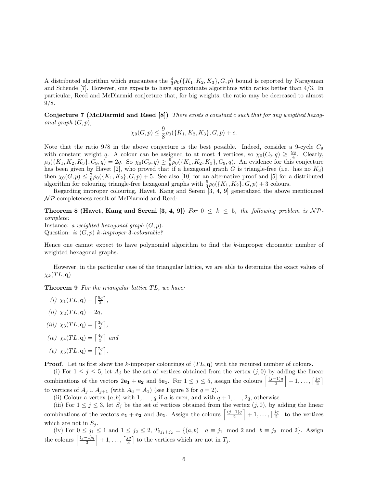A distributed algorithm which guarantees the  $\frac{4}{3}\rho_0(\lbrace K_1, K_2, K_3 \rbrace, G, p)$  bound is reported by Narayanan and Schende  $[7]$ . However, one expects to have approximate algorithms with ratios better than  $4/3$ . In particular, Reed and McDiarmid conjecture that, for big weights, the ratio may be decreased to almost 9/8.

Conjecture 7 (McDiarmid and Reed [8]) *There exists a constant* c *such that for any weigthed hexagonal graph* (G, p)*,*

$$
\chi_0(G, p) \le \frac{9}{8}\rho_0(\lbrace K_1, K_2, K_3 \rbrace, G, p) + c.
$$

Note that the ratio  $9/8$  in the above conjecture is the best possible. Indeed, consider a 9-cycle  $C_9$ with constant weight q. A colour can be assigned to at most 4 vertices, so  $\chi_0(C_9, q) \geq \frac{9q}{4}$ . Clearly,  $\rho_0(\{K_1, K_2, K_3\}, C_9, q) = 2q$ . So  $\chi_0(C_9, q) \ge \frac{9}{8}\rho_0(\{K_1, K_2, K_3\}, C_9, q)$ . An evidence for this conjecture has been given by Havet [2], who proved that if a hexagonal graph G is triangle-free (i.e. has no  $K_3$ ) then  $\chi_0(G, p) \leq \frac{7}{6}\rho_0(\lbrace K_1, K_2 \rbrace, G, p) + 5$ . See also [10] for an alternative proof and [5] for a distributed algorithm for colouring triangle-free hexagonal graphs with  $\frac{5}{4}\rho_0(\lbrace K_1, K_2 \rbrace, G, p) + 3$  colours.

Regarding improper colouring, Havet, Kang and Sereni [3, 4, 9] generalized the above mentionned  $\mathcal{NP}$ -completeness result of McDiarmid and Reed:

**Theorem 8 (Havet, Kang and Sereni [3, 4, 9])** *For*  $0 \leq k \leq 5$ , the following problem is NP*complete:*

Instance: *a weighted hexagonal graph* (G, p)*.* Question: *is* (G, p) k*-improper* 3*-colourable?*

Hence one cannot expect to have polynomial algorithm to find the k-improper chromatic number of weighted hexagonal graphs.

However, in the particular case of the triangular lattice, we are able to determine the exact values of  $\chi_k(TL, \mathbf{q})$ 

**Theorem 9** For the triangular lattice TL, we have:

- $(i)$   $\chi_1(TL, \mathbf{q}) = \left\lceil \frac{5q}{2} \right\rceil$ ,
- *(ii)*  $\chi_2(TL, \mathbf{q}) = 2q$ ,
- $(iii) \ \chi_3(TL, \mathbf{q}) = \left\lceil \frac{3q}{2} \right\rceil,$
- $(iv) \ \chi_4(TL, \mathbf{q}) = \left\lceil \frac{4q}{3} \right\rceil \ and$
- (*v*)  $\chi_5(TL, \mathbf{q}) = \left\lceil \frac{7q}{6} \right\rceil$ .

**Proof.** Let us first show the k-improper colourings of  $(T<sub>L</sub>, q)$  with the required number of colours.

(i) For  $1 \leq j \leq 5$ , let  $A_j$  be the set of vertices obtained from the vertex  $(j, 0)$  by adding the linear combinations of the vectors  $2\mathbf{e}_1 + \mathbf{e}_2$  and  $5\mathbf{e}_1$ . For  $1 \leq j \leq 5$ , assign the colours  $\left\lceil \frac{(j-1)q}{2} \right\rceil + 1, \ldots, \left\lceil \frac{jq}{2} \right\rceil$ to vertices of  $A_i \cup A_{i+1}$  (with  $A_6 = A_1$ ) (see Figure 3 for  $q = 2$ ).

(ii) Colour a vertex  $(a, b)$  with  $1, \ldots, q$  if a is even, and with  $q + 1, \ldots, 2q$ , otherwise.

(iii) For  $1 \leq j \leq 3$ , let  $S_j$  be the set of vertices obtained from the vertex  $(j, 0)$ , by adding the linear combinations of the vectors  $\mathbf{e}_1 + \mathbf{e}_2$  and  $3\mathbf{e}_1$ . Assign the colours  $\left[\frac{(j-1)q}{2}\right] + 1, \ldots, \left[\frac{jq}{2}\right]$  to the vertices which are not in  $S_i$ .

(iv) For  $0 \le j_1 \le 1$  and  $1 \le j_2 \le 2$ ,  $T_{2j_1+j_2} = \{(a,b) | a \equiv j_1 \mod 2 \text{ and } b \equiv j_2 \mod 2\}$ . Assign the colours  $\left\lceil \frac{(j-1)q}{3} \right\rceil + 1, \ldots, \left\lceil \frac{jq}{3} \right\rceil$  to the vertices which are not in  $T_j$ .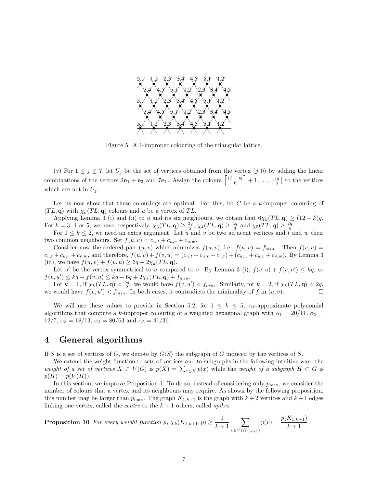

Figure 5: A 1-improper colouring of the triangular lattice.

(v) For  $1 \leq j \leq 7$ , let  $U_j$  be the set of vertices obtained from the vertex  $(j, 0)$  by adding the linear combinations of the vectors  $2\mathbf{e}_1 + \mathbf{e}_2$  and  $7\mathbf{e}_1$ . Assign the colours  $\left[\frac{(j-1)q}{6}\right] + 1, \ldots, \left[\frac{jq}{6}\right]$  to the vertices which are not in  $U_j$ .

Let us now show that these colourings are optimal. For this, let  $C$  be a  $k$ -improper colouring of  $(TL, \mathbf{q})$  with  $\chi_k(TL, \mathbf{q})$  colours and u be a vertex of TL.

Applying Lemma 3 (i) and (ii) to u and its six neighbours, we obtain that  $6\chi_k(TL, \mathbf{q}) \geq (12 - k)q$ . For  $k = 3, 4$  or 5, we have, respectively,  $\chi_3(TL, \mathbf{q}) \ge \frac{3q}{2}$ ,  $\chi_4(TL, \mathbf{q}) \ge \frac{4q}{3}$  and  $\chi_5(TL, \mathbf{q}) \ge \frac{7q}{6}$ .

For  $1 \leq k \leq 2$ , we need an extra argument. Let u and v be two adjacent vertices and t and w their two common neighbours. Set  $f(u, v) = c_{u,t} + c_{u,v} + c_{u,w}$ .

Consider now the ordered pair  $(u, v)$  which minimizes  $f(u, v)$ , i.e.  $f(u, v) = f_{min}$ . Then  $f(v, u) =$  $c_{v,t} + c_{u,v} + c_{v,w}$ , and therefore,  $f(u, v) + f(v, u) = (c_{u,t} + c_{u,v} + c_{v,t}) + (c_{u,w} + c_{u,v} + c_{v,w})$ . By Lemma 3 (iii), we have  $f(u, v) + f(v, u) \ge 6q - 2\chi_k(TL, \mathbf{q}).$ 

Let u' be the vertex symmetrical to u compared to v. By Lemma 3 (i),  $f(v, u) + f(v, u') \leq kq$ , so  $f(v, u') \leq kq - f(v, u) \leq kq - 6q + 2\chi_k(TL, \mathbf{q}) + f_{min}.$ 

For  $k = 1$ , if  $\chi_k(TL, \mathbf{q}) < \frac{5q}{2}$ , we would have  $f(v, u') < f_{min}$ . Similarly, for  $k = 2$ , if  $\chi_k(TL, \mathbf{q}) < 2q$ , we would have  $f(v, u') < f_{min}$ . In both cases, it contradicts the minimality of f in  $(u, v)$ .

We will use these values to provide in Section 5.2, for  $1 \leq k \leq 5$ ,  $\alpha_k$ -approximate polynomial algorithms that compute a k-improper colouring of a weighted hexagonal graph with  $\alpha_1 = 20/11$ ,  $\alpha_2 =$  $12/7, \alpha_3 = 18/13, \alpha_4 = 80/63 \text{ and } \alpha_5 = 41/36.$ 

### 4 General algorithms

If S is a set of vertices of G, we denote by  $G\langle S\rangle$  the subgraph of G induced by the vertices of S.

We extend the weight function to sets of vertices and to subgraphs in the following intuitive way: the *weight of a set of vertices*  $X \subset V(G)$  is  $p(X) = \sum_{x \in X} p(x)$  while the *weight of a subgraph*  $H \subset G$  is  $p(H) = p(V(H)).$ 

In this section, we improve Proposition 1. To do so, instead of considering only  $p_{\text{max}}$ , we consider the number of colours that a vertex and its neighbours may require. As shown by the following proposition, this number may be larger than  $p_{\text{max}}$ . The graph  $K_{1,k+1}$  is the graph with  $k+2$  vertices and  $k+1$  edges linking one vertex, called the *centre* to the  $k + 1$  others, called *spikes*.

**Proposition 10** For every weight function p, 
$$
\chi_k(K_{1,k+1}, p) \ge \frac{1}{k+1} \sum_{v \in V(K_{1,k+1})} p(v) = \frac{p(K_{1,k+1})}{k+1}
$$
.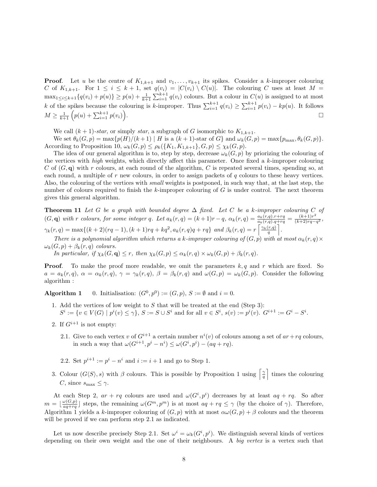**Proof.** Let u be the centre of  $K_{1,k+1}$  and  $v_1, \ldots, v_{k+1}$  its spikes. Consider a k-improper colouring C of  $K_{1,k+1}$ . For  $1 \leq i \leq k+1$ , set  $q(v_i) = |C(v_i) \setminus C(u)|$ . The colouring C uses at least  $M =$  $\max_{1 \leq i \leq k+1} \{q(v_i) + p(u)\} \geq p(u) + \frac{1}{k+1} \sum_{i=1}^{k+1} q(v_i)$  colours. But a colour in  $C(u)$  is assigned to at most k of the spikes because the colouring is k-improper. Thus  $\sum_{i=1}^{k+1} q(v_i) \geq \sum_{i=1}^{k+1} p(v_i) - kp(u)$ . It follows  $M \geq \frac{1}{k+1} \left( p(u) + \sum_{i=1}^{k+1} p(v_i) \right)$ .

We call  $(k + 1)$ -star, or simply *star*, a subgraph of G isomorphic to  $K_{1,k+1}$ .

We set  $\theta_k(G, p) = \max\{p(H)/(k+1) \mid H \text{ is a } (k+1)\text{-star of } G\}$  and  $\omega_k(G, p) = \max\{p_{\max}, \theta_k(G, p)\}.$ According to Proposition 10,  $\omega_k(G, p) \leq \rho_k(\lbrace K_1, K_{1,k+1} \rbrace, G, p) \leq \chi_k(G, p)$ .

The idea of our general algorithm is to, step by step, decrease  $\omega_k(G, p)$  by priorizing the colouring of the vertices with *high* weights, which directly affect this parameter. Once fixed a k-improper colouring C of  $(G, q)$  with r colours, at each round of the algorithm, C is repeated several times, spending so, at each round, a multiple of  $r$  new colours, in order to assign packets of  $q$  colours to these heavy vertices. Also, the colouring of the vertices with *small* weights is postponed, in such way that, at the last step, the number of colours required to finish the  $k$ -improper colouring of  $G$  is under control. The next theorem gives this general algorithm.

Theorem 11 *Let* G *be a graph with bounded degree* ∆ *fixed. Let* C *be a* k*-improper colouring* C *of*  $(G, \mathbf{q})$  with r colours, for some integer q. Let  $a_k(r,q) = (k+1)r - q$ ,  $\alpha_k(r,q) = \frac{a_k(r,q).r+rq}{a_k(r,q).q+rq} = \frac{(k+1)r^2}{(k+2)rq - q}$  $\frac{(k+1)r}{(k+2)rq-q^2}$  $\gamma_k(r,q) = \max\{(k+2)(rq-1), (k+1)rq + kq^2, a_k(r,q)q + rq\}$  and  $\beta_k(r,q) = r\left[\frac{\gamma_k(r,q)}{q}\right]$ .

*There is a polynomial algorithm which returns a k-improper colouring of*  $(G, p)$  *with at most*  $\alpha_k(r, q) \times$  $\omega_k(G, p) + \beta_k(r, q)$  *colours.* 

*In particular, if*  $\chi_k(G, \mathbf{q}) \leq r$ *, then*  $\chi_k(G, p) \leq \alpha_k(r, q) \times \omega_k(G, p) + \beta_k(r, q)$ *.* 

**Proof.** To make the proof more readable, we omit the parameters  $k, q$  and r which are fixed. So  $a = a_k(r, q)$ ,  $\alpha = \alpha_k(r, q)$ ,  $\gamma = \gamma_k(r, q)$ ,  $\beta = \beta_k(r, q)$  and  $\omega(G, p) = \omega_k(G, p)$ . Consider the following algorithm :

**Algorithm 1** 0. Initialisation:  $(G^0, p^0) := (G, p), S := \emptyset$  and  $i = 0$ .

- 1. Add the vertices of low weight to  $S$  that will be treated at the end (Step 3):  $S^i := \{v \in V(G) \mid p^i(v) \leq \gamma\},\ S := S \cup S^i \text{ and for all } v \in S^i,\ s(v) := p^i(v). \ G^{i+1} := G^i - S^i.$
- 2. If  $G^{i+1}$  is not empty:
	- 2.1. Give to each vertex v of  $G^{i+1}$  a certain number  $n^i(v)$  of colours among a set of  $ar +rq$  colours, in such a way that  $\omega(G^{i+1}, p^i - n^i) \leq \omega(G^i, p^i) - (aq + rq)$ .
	- 2.2. Set  $p^{i+1} := p^i n^i$  and  $i := i + 1$  and go to Step 1.
- 3. Colour  $(G\langle S\rangle, s)$  with  $\beta$  colours. This is possible by Proposition 1 using  $\left\lceil \frac{\gamma}{q} \right\rceil$  times the colouring C, since  $s_{\text{max}} \leq \gamma$ .

At each Step 2,  $ar + rq$  colours are used and  $\omega(G^i, p^i)$  decreases by at least  $aq + rq$ . So after  $m = \lfloor \frac{\omega(G,p)}{aa+ra} \rfloor$  $\frac{\omega(G,p)}{aq+rq}$  steps, the remaining  $\omega(G^m, p^m)$  is at most  $aq+rq \leq \gamma$  (by the choice of  $\gamma$ ). Therefore, Algorithm 1 yields a k-improper colouring of  $(G, p)$  with at most  $\alpha \omega(G, p) + \beta$  colours and the theorem will be proved if we can perform step 2.1 as indicated.

Let us now describe precisely Step 2.1. Set  $\omega^i = \omega_k(G^i, p^i)$ . We distinguish several kinds of vertices depending on their own weight and the one of their neighbours. A *big vertex* is a vertex such that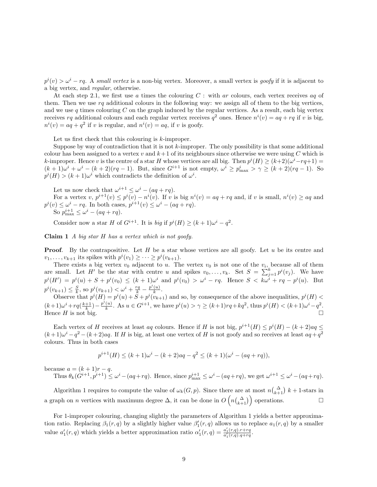$p^{i}(v) > \omega^{i} - rq$ . A *small vertex* is a non-big vertex. Moreover, a small vertex is *goofy* if it is adjacent to a big vertex, and *regular*, otherwise.

At each step 2.1, we first use a times the colouring  $C$ : with ar colours, each vertex receives ag of them. Then we use  $rq$  additional colours in the following way: we assign all of them to the big vertices, and we use q times colouring C on the graph induced by the regular vertices. As a result, each big vertex receives  $rq$  additional colours and each regular vertex receives  $q^2$  ones. Hence  $n^i(v) = aq + rq$  if v is big,  $n^{i}(v) = aq + q^{2}$  if v is regular, and  $n^{i}(v) = aq$ , if v is goofy.

Let us first check that this colouring is  $k$ -improper.

Suppose by way of contradiction that it is not  $k$ -improper. The only possibility is that some additional colour has been assigned to a vertex v and  $k+1$  of its neighbours since otherwise we were using C which is k-improper. Hence v is the centre of a star H whose vertices are all big. Then  $p^{i}(H) \geq (k+2)(\omega^{i}-rq+1)$  $(k+1)\omega^{i} + \omega^{i} - (k+2)(rq-1)$ . But, since  $G^{i+1}$  is not empty,  $\omega^{i} \ge p_{\max}^{i} > \gamma \ge (k+2)(rq-1)$ . So  $p^{i}(H) > (k+1)\omega^{i}$  which contradicts the definition of  $\omega^{i}$ .

Let us now check that  $\omega^{i+1} \leq \omega^i - (aq + rq)$ .

For a vertex  $v, p^{i+1}(v) \leq p^{i}(v) - n^{i}(v)$ . If v is big  $n^{i}(v) = aq + rq$  and, if v is small,  $n^{i}(v) \geq aq$  and  $p^{i}(v) \leq \omega^{i} - rq$ . In both cases,  $p^{i+1}(v) \leq \omega^{i} - (aq + rq)$ .<br>So  $p_{\text{max}}^{i+1} \leq \omega^{i} - (aq + rq)$ .

So 
$$
p_{\text{max}}^{i+1} \leq \omega^i - (aq + rq)
$$
.

Consider now a star H of  $G^{i+1}$ . It is *big* if  $p^{i}(H) \geq (k+1)\omega^{i} - q^{2}$ .

Claim 1 *A big star* H *has a vertex which is not goofy.*

**Proof.** By the contrapositive. Let  $H$  be a star whose vertices are all goofy. Let  $u$  be its centre and  $v_1, \ldots, v_{k+1}$  its spikes with  $p^i(v_1) \geq \cdots \geq p^i(v_{k+1})$ .

There exists a big vertex  $v_0$  adjacent to u. The vertex  $v_0$  is not one of the  $v_i$ , because all of them are small. Let H' be the star with centre u and spikes  $v_0, \ldots, v_k$ . Set  $S = \sum_{j=1}^k p^i(v_j)$ . We have  $p^{i}(H') = p^{i}(u) + S + p^{i}(v_0) \leq (k+1)\omega^{i}$  and  $p^{i}(v_0) > \omega^{i} - rq$ . Hence  $S < k\omega^{i} + rq - p^{i}(u)$ . But  $p^{i}(v_{k+1}) \leq \frac{S}{k}$ , so  $p^{i}(v_{k+1}) < \omega^{i} + \frac{rq}{k} - \frac{p^{i}(u)}{k}$  $\frac{(u)}{k}$ .

Observe that  $p^{i}(H) = p^{i}(u) + \ddot{S} + p^{i}(\ddot{v}_{k+1})$  and so, by consequence of the above inequalities,  $p^{i}(H)$  <  $(k+1)\omega^i +rq(\frac{k+1}{k}) - \frac{p^i(u)}{k}$  $\frac{(u)}{k}$ . As  $u \in G^{i+1}$ , we have  $p^{i}(u) > \gamma \ge (k+1)rq + kq^{2}$ , thus  $p^{i}(H) < (k+1)\omega^{i} - q^{2}$ . Hence  $H$  is not big.

Each vertex of H receives at least aq colours. Hence if H is not big,  $p^{i+1}(H) \leq p^{i}(H) - (k+2)aq \leq$  $(k+1)\omega^i - q^2 - (k+2)aq$ . If H is big, at least one vertex of H is not goofy and so receives at least  $aq + q^2$ colours. Thus in both cases

$$
p^{i+1}(H) \le (k+1)\omega^i - (k+2)aq - q^2 \le (k+1)(\omega^i - (aq + rq)),
$$

because  $a = (k + 1)r - q$ .

Thus  $\theta_k(G^{i+1}, p^{i+1}) \leq \omega^i - (aq + rq)$ . Hence, since  $p_{\text{max}}^{i+1} \leq \omega^i - (aq + rq)$ , we get  $\omega^{i+1} \leq \omega^i - (aq + rq)$ .

Algorithm 1 requires to compute the value of  $\omega_k(G, p)$ . Since there are at most  $n \binom{\Delta}{k+1} k + 1$ -stars in a graph on *n* vertices with maximum degree  $\Delta$ , it can be done in  $O(n \binom{\Delta}{k+1})$  operations.

For 1-improper colouring, changing slightly the parameters of Algorithm 1 yields a better approximation ratio. Replacing  $\beta_1(r,q)$  by a slightly higher value  $\beta'_1(r,q)$  allows us to replace  $a_1(r,q)$  by a smaller value  $a'_1(r,q)$  which yields a better approximation ratio  $\alpha'_1(r,q) = \frac{a'_1(r,q).r+rq}{a'_1(r,q).q+rq}$  $\frac{a_1(r,q), r+rq}{a'_1(r,q), q+rq}.$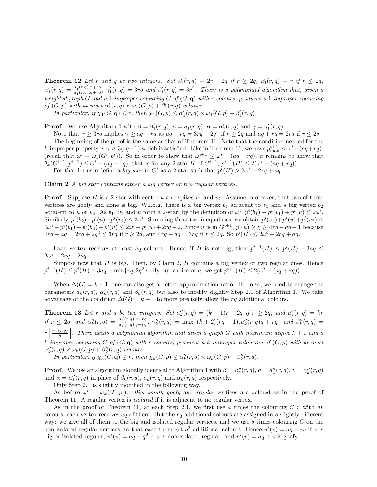**Theorem 12** Let r and q be two integers. Set  $a'_1(r,q) = 2r - 2q$  if  $r \ge 2q$ ,  $a'_1(r,q) = r$  if  $r \le 2q$ ,  $\alpha'_1(r,q) = \frac{a'_1(r,q).r+rq}{a'_1(r,q).q+rq}$  $\frac{a_1(r,q).r+rq}{a'_1(r,q).q+rq}$ ,  $\gamma'_1(r,q) = 3rq$  and  $\beta'_1(r,q) = 3r^2$ . There is a polynomial algorithm that, given a *weighted graph* G *and a* 1*-improper colouring* C *of* (G, q) *with* r *colours, produces a* 1*-improper colouring of*  $(G, p)$  *with at most*  $\alpha'_1(r, q) \times \omega_1(G, p) + \beta'_1(r, q)$  *colours.* 

*In particular, if*  $\chi_1(G, \mathbf{q}) \leq r$ *, then*  $\chi_1(G, p) \leq \alpha'_1(r, q) \times \omega_1(G, p) + \beta'_1(r, q)$ *.* 

**Proof.** We use Algorithm 1 with  $\beta = \beta'_1(r, q)$ ,  $a = a'_1(r, q)$ ,  $\alpha = \alpha'_1(r, q)$  and  $\gamma = \gamma'_1(r, q)$ .

Note that  $\gamma \ge 3rq$  implies  $\gamma \ge aq + rq$  as  $aq + rq = 3rq - 2q^2$  if  $r \ge 2q$  and  $aq + rq = 2rq$  if  $r \le 2q$ . The beginning of the proof is the same as that of Theorem 11. Note that the condition needed for the k-improper property is  $\gamma \geq 3(rq-1)$  which is satisfied. Like in Theorem 11, we have  $p_{\max}^{i+1} \leq \omega^i - (aq + rq)$ . (recall that  $\omega^i = \omega_1(G^i, p^i)$ ). So in order to show that  $\omega^{i+1} \leq \omega^i - (aq + rq)$ , it remains to show that  $\theta_k(G^{i+1}, p^{i+1}) \le \omega^i - (aq + rq)$ , that is for any 2-star H of  $G^{i+1}$ ,  $\rho^{i+1}(H) \le 2(\omega^i - (aq + rq))$ .

For that let us redefine a *big star* in  $G^i$  as a 2-star such that  $p^i(H) > 2\omega^i - 2rq + aq$ .

Claim 2 *A big star contains either a big vertex or two regular vertices.*

**Proof.** Suppose H is a 2-star with centre u and spikes  $v_1$  and  $v_2$ . Assume, moreover, that two of these vertices are goofy and none is big. W.l.o.g. there is a big vertex  $b_1$  adjacent to  $v_1$  and a big vertex  $b_2$ adjacent to u or  $v_2$ . As  $b_1$ ,  $v_1$  and u form a 2-star, by the definition of  $\omega^i$ ,  $p^i(b_1) + p^i(v_1) + p^i(u) \leq 2\omega^i$ . Similarly,  $p^{i}(b_2)+p^{i}(u)+p^{i}(v_2) \leq 2\omega^i$ . Summing these two inequalities, we obtain  $p^{i}(v_1)+p^{i}(u)+p^{i}(v_2) \leq$  $4\omega^i - p^i(b_1) - p^i(b_2) - p^i(u) \leq 2\omega^i - p^i(u) + 2rq - 2$ . Since u is in  $G^{i+1}$ ,  $p^i(u) \geq \gamma \geq 4rq - aq - 1$  because  $4rq - aq = 2rq + 2q^2 \leq 3rq$  if  $r \geq 2q$ , and  $4rq - aq = 3rq$  if  $r \leq 2q$ . So  $p^i(H) \leq 2\omega^i - 2rq + aq$ .

Each vertex receives at least aq colours. Hence, if H is not big, then  $p^{i+1}(H) \leq p^{i}(H) - 3aq \leq$  $2\omega^i-2rq-2aq$ 

Suppose now that  $H$  is big. Then, by Claim 2,  $H$  contains a big vertex or two regular ones. Hence  $p^{i+1}(H) \leq p^{i}(H) - 3aq - \min\{rq, 2q^2\}.$  By our choice of a, we get  $p^{i+1}(H) \leq 2(\omega^i - (aq + rq))$ .

When  $\Delta(G) = k + 1$ , one can also get a better approximation ratio. To do so, we need to change the parameters  $a_k(r, q)$ ,  $\alpha_k(r, q)$  and  $\beta_k(r, q)$  but also to modify slightly Step 2.1 of Algorithm 1. We take advantage of the condition  $\Delta(G) = k + 1$  to more precisely allow the rq additional colours.

**Theorem 13** Let r and q be two integers. Set  $a''_k(r,q) = (k+1)r - 2q$  if  $r \geq 2q$ , and  $a''_k(r,q) = kr$ *if*  $r \leq 2q$ *, and*  $\alpha''_k(r,q) = \frac{a''_k(r,q) \cdot r + rq}{a''_k(r,q) \cdot q + rq}$  $\frac{a_k(r,q).r+rq}{a''_k(r,q).q+rq}, \gamma''_k(r,q) = \max\{(k+2)(rq-1), a''_k(r,q)q+rq\}$  and  $\beta''_k(r,q) =$  $r\left[\frac{\gamma''(r,q)}{q}\right]$  $\left\lceil \frac{r,q}{q} \right\rceil$ . There exists a polynomial algorithm that given a graph G with maximum degree  $k+1$  and a k*-improper colouring* C *of* (G, q) *with* r *colours, produces a* k*-improper colouring of* (G, p) *with at most*  $\alpha_k''(r,q) \times \omega_k(G,p) + \beta_k''(r,q)$  colours.

 $\mathcal{L}(K, q) \times \omega_k(\mathcal{G}, p) + \mathcal{P}_k(\mathcal{G}, q) \leq r$ , then  $\chi_k(G, p) \leq \alpha''_k(r, q) \times \omega_k(G, p) + \beta''_k(r, q)$ .<br>In particular, if  $\chi_k(G, q) \leq r$ , then  $\chi_k(G, p) \leq \alpha''_k(r, q)$ .

**Proof.** We use an algorithm globally identical to Algorithm 1 with  $\beta = \beta_k''(r, q)$ ,  $a = a_1''(r, q)$ ,  $\gamma = \gamma_k''(r, q)$ and  $\alpha = \alpha''_1(r, q)$  in place of  $\beta_k(r, q)$ ,  $a_k(r, q)$  and  $\alpha_k(r, q)$  respectively.

Only Step 2.1 is slightly modified in the following way.

As before  $\omega^i = \omega_k(G^i, p^i)$ . *Big, small, goofy* and *regular* vertices are defined as in the proof of Theorem 11. A regular vertex is *isolated* if it is adjacent to no regular vertex.

As in the proof of Theorem 11, at each Step 2.1, we first use a times the colouring  $C$ : with ar colours, each vertex receives  $aq$  of them. But the  $rq$  additional colours are assigned in a slightly different way: we give all of them to the big and isolated regular vertices, and we use  $q$  times colouring  $C$  on the non-isolated regular vertices, so that each them get  $q^2$  additional colours. Hence  $n^i(v) = aq + rq$  if v is big or isolated regular,  $n^i(v) = aq + q^2$  if v is non-isolated regular, and  $n^i(v) = aq$  if v is goofy.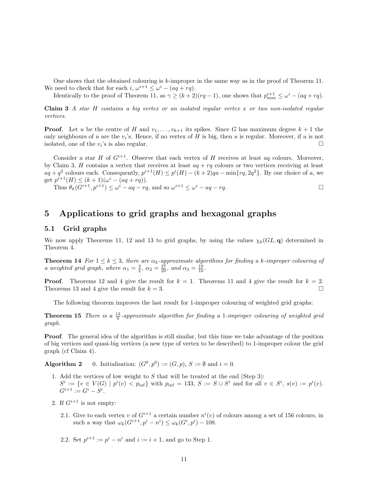One shows that the obtained colouring is k-improper in the same way as in the proof of Theorem 11. We need to check that for each  $i, \omega^{i+1} \leq \omega^i - (aq + rq)$ .

Identically to the proof of Theorem 11, as  $\gamma \ge (k+2)(rq-1)$ , one shows that  $p_{\text{max}}^{i+1} \le \omega^i - (aq + rq)$ .

Claim 3 *A star* H *contains a big vertex or an isolated regular vertex* x *or two non-isolated regular vertices.*

**Proof.** Let u be the centre of H and  $v_1, \ldots, v_{k+1}$  its spikes. Since G has maximum degree  $k+1$  the only neighbours of u are the  $v_i$ 's. Hence, if no vertex of H is big, then u is regular. Moreover, if u is not isolated, one of the  $v_i$ 's is also regular.

Consider a star H of  $G^{i+1}$ . Observe that each vertex of H receives at least aq colours. Moreover, by Claim 3, H contains a vertex that receives at least  $aq + rq$  colours or two vertices receiving at least  $aq + q^2$  colours each. Consequently,  $p^{i+1}(H) \leq p^{i}(H) - (k+2)qa - \min\{rq, 2q^2\}$ . By our choice of a, we get  $p^{i+1}(H) \le (k+1)(\omega^i - (aq + rq)).$ 

Thus  $\theta_k(G^{i+1}, p^{i+1}) \leq \omega^i - aq - rq$ , and so  $\omega^{i+1} \leq \omega^i - aq - rq$ .

### 5 Applications to grid graphs and hexagonal graphs

#### 5.1 Grid graphs

We now apply Theorems 11, 12 and 13 to grid graphs, by using the values  $\chi_k(GL, \mathbf{q})$  determined in Theorem 4.

**Theorem 14** For  $1 \leq k \leq 3$ , there are  $\alpha_k$ -approximate algorithms for finding a k-improper colouring of *a* weighted grid graph, where  $\alpha_1 = \frac{3}{2}$ ,  $\alpha_2 = \frac{27}{20}$ , and  $\alpha_3 = \frac{19}{16}$ .

**Proof.** Theorems 12 and 4 give the result for  $k = 1$ . Theorems 11 and 4 give the result for  $k = 2$ . Theorems 13 and 4 give the result for  $k = 3$ .

The following theorem improves the last result for 1-improper colouring of weighted grid graphs:

**Theorem 15** *There is a*  $\frac{13}{9}$ -approximate algorithm for finding a 1-improper colouring of weighted grid *graph.*

Proof. The general idea of the algorithm is still similar, but this time we take advantage of the position of big vertices and quasi-big vertices (a new type of vertex to be described) to 1-improper colour the grid graph (cf Claim 4).

**Algorithm 2** 0. Initialisation:  $(G^0, p^0) := (G, p), S := \emptyset$  and  $i = 0$ .

- 1. Add the vertices of low weight to  $S$  that will be treated at the end (Step 3):  $S^i := \{v \in V(G) \mid p^i(v) < p_{\text{inf}}\}\$  with  $p_{\text{inf}} = 133, S := S \cup S^i$  and for all  $v \in S^i$ ,  $s(v) := p^i(v)$ .  $G^{i+1} := G^i - S^i.$
- 2. If  $G^{i+1}$  is not empty:
	- 2.1. Give to each vertex v of  $G^{i+1}$  a certain number  $n^i(v)$  of colours among a set of 156 colours, in such a way that  $\omega_k(G^{i+1}, p^i - n^i) \leq \omega_k(G^i, p^i) - 108$ .
	- 2.2. Set  $p^{i+1} := p^i n^i$  and  $i := i + 1$ , and go to Step 1.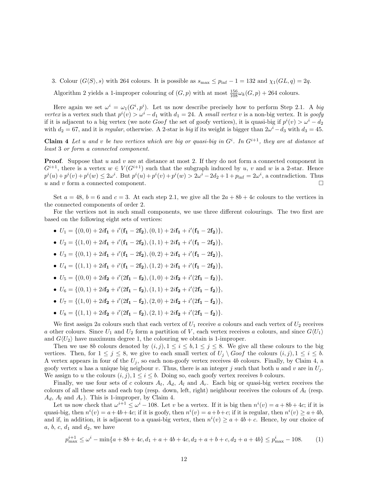3. Colour  $(G\langle S\rangle, s)$  with 264 colours. It is possible as  $s_{\text{max}} \le p_{\text{inf}} - 1 = 132$  and  $\chi_1(GL, q) = 2q$ .

Algorithm 2 yields a 1-improper colouring of  $(G, p)$  with at most  $\frac{156}{108}\omega_k(G, p) + 264$  colours.

Here again we set  $\omega^i = \omega_1(G^i, p^i)$ . Let us now describe precisely how to perform Step 2.1. A *big vertex* is a vertex such that  $p^{i}(v) > \omega^{i} - d_1$  with  $d_1 = 24$ . A *small vertex* v is a non-big vertex. It is *goofy* if it is adjacent to a big vertex (we note  $Goof$  the set of goofy vertices), it is quasi-big if  $p^{i}(v) > \omega^{i} - d_2$ with  $d_2 = 67$ , and it is *regular*, otherwise. A 2-star is *big* if its weight is bigger than  $2\omega^i - d_3$  with  $d_3 = 45$ .

Claim 4 Let u and v be two vertices which are big or quasi-big in  $G<sup>i</sup>$ . In  $G<sup>i+1</sup>$ , they are at distance at *least* 3 *or form a connected component.*

**Proof.** Suppose that u and v are at distance at most 2. If they do not form a connected component in  $G^{i+1}$ , there is a vertex  $w \in V(G^{i+1})$  such that the subgraph induced by u, v and w is a 2-star. Hence  $p^{i}(u) + p^{i}(v) + p^{i}(w) \leq 2\omega^{i}$ . But  $p^{i}(u) + p^{i}(v) + p^{i}(w) > 2\omega^{i} - 2d_{2} + 1 + p_{\text{inf}} = 2\omega^{i}$ , a contradiction. Thus u and v form a connected component.  $\Box$ 

Set  $a = 48$ ,  $b = 6$  and  $c = 3$ . At each step 2.1, we give all the  $2a + 8b + 4c$  colours to the vertices in the connected components of order 2.

For the vertices not in such small components, we use three different colourings. The two first are based on the following eight sets of vertices:

- $U_1 = \{(0,0) + 2i\mathbf{f_1} + i'(\mathbf{f_1} 2\mathbf{f_2}), (0,1) + 2i\mathbf{f_1} + i'(\mathbf{f_1} 2\mathbf{f_2})\},\$
- $U_2 = \{(1,0) + 2i\mathbf{f_1} + i'(\mathbf{f_1} 2\mathbf{f_2}), (1,1) + 2i\mathbf{f_1} + i'(\mathbf{f_1} 2\mathbf{f_2})\},\$
- $U_3 = \{(0,1) + 2i\mathbf{f_1} + i'(\mathbf{f_1} 2\mathbf{f_2}), (0,2) + 2i\mathbf{f_1} + i'(\mathbf{f_1} 2\mathbf{f_2})\},\$
- $U_4 = \{(1,1) + 2i\mathbf{f_1} + i'(\mathbf{f_1} 2\mathbf{f_2}), (1,2) + 2i\mathbf{f_1} + i'(\mathbf{f_1} 2\mathbf{f_2})\},\$
- $U_5 = \{(0,0) + 2i\mathbf{f_2} + i'(2\mathbf{f_1} \mathbf{f_2}), (1,0) + 2i\mathbf{f_2} + i'(2\mathbf{f_1} \mathbf{f_2})\},\$
- $U_6 = \{(0,1) + 2i\mathbf{f_2} + i'(2\mathbf{f_1} \mathbf{f_2}), (1,1) + 2i\mathbf{f_2} + i'(2\mathbf{f_1} \mathbf{f_2})\},\$
- $U_7 = \{(1,0) + 2i\mathbf{f_2} + i'(2\mathbf{f_1} \mathbf{f_2}), (2,0) + 2i\mathbf{f_2} + i'(2\mathbf{f_1} \mathbf{f_2})\},\$
- $U_8 = \{(1,1) + 2i\mathbf{f_2} + i'(2\mathbf{f_1} \mathbf{f_2}), (2,1) + 2i\mathbf{f_2} + i'(2\mathbf{f_1} \mathbf{f_2})\}.$

We first assign 2a colours such that each vertex of  $U_1$  receive a colours and each vertex of  $U_2$  receives a other colours. Since  $U_1$  and  $U_2$  form a partition of V, each vertex receives a colours, and since  $G\langle U_1 \rangle$ and  $G\langle U_2\rangle$  have maximum degree 1, the colouring we obtain is 1-improper.

Then we use 8b colours denoted by  $(i, j)$ ,  $1 \le i \le b$ ,  $1 \le j \le 8$ . We give all these colours to the big vertices. Then, for  $1 \leq j \leq 8$ , we give to each small vertex of  $U_j \setminus Goof$  the colours  $(i, j), 1 \leq i \leq b$ . A vertex appears in four of the  $U_j$ , so each non-goofy vertex receives 4b colours. Finally, by Claim 4, a goofy vertex u has a unique big neigbour v. Thus, there is an integer j such that both u and v are in  $U_j$ . We assign to u the colours  $(i, j)$ ,  $1 \leq i \leq b$ . Doing so, each goofy vertex receives b colours.

Finally, we use four sets of c colours  $A_t$ ,  $A_d$ ,  $A_l$  and  $A_r$ . Each big or quasi-big vertex receives the colours of all these sets and each top (resp. down, left, right) neighbour receives the colours of  $A_t$  (resp.  $A_d$ ,  $A_l$  and  $A_r$ ). This is 1-improper, by Claim 4.

Let us now check that  $\omega^{i+1} \leq \omega^i - 108$ . Let v be a vertex. If it is big then  $n^i(v) = a + 8b + 4c$ ; if it is quasi-big, then  $n^{i}(v) = a + 4b + 4c$ ; if it is goofy, then  $n^{i}(v) = a + b + c$ ; if it is regular, then  $n^{i}(v) \ge a + 4b$ , and if, in addition, it is adjacent to a quasi-big vertex, then  $n^{i}(v) \ge a + 4b + c$ . Hence, by our choice of  $a, b, c, d_1$  and  $d_2$ , we have

$$
p_{\max}^{i+1} \le \omega^i - \min\{a + 8b + 4c, d_1 + a + 4b + 4c, d_2 + a + b + c, d_2 + a + 4b\} \le p_{\max}^i - 108. \tag{1}
$$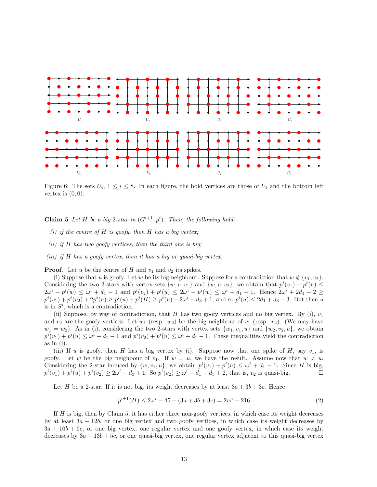

Figure 6: The sets  $U_i$ ,  $1 \leq i \leq 8$ . In each figure, the bold vertices are those of  $U_i$  and the bottom left vertex is  $(0, 0)$ .

**Claim 5** Let H be a big 2-star in  $(G^{i+1}, p^i)$ . Then, the following hold:

- *(i) if the centre of* H *is goofy, then* H *has a big vertex;*
- *(ii) if* H *has two goofy vertices, then the third one is big;*
- *(iii) if* H *has a goofy vertex, then it has a big or quasi-big vertex.*

**Proof.** Let u be the centre of H and  $v_1$  and  $v_2$  its spikes.

(i) Suppose that u is goofy. Let w be its big neighbour. Suppose for a contradiction that  $w \notin \{v_1, v_2\}$ . Considering the two 2-stars with vertex sets  $\{w, u, v_1\}$  and  $\{w, u, v_2\}$ , we obtain that  $p^{i}(v_1) + p^{i}(u) \leq$  $2\omega^i - p^i(w) \leq \omega^i + d_1 - 1$  and  $p^i(v_2) + p^i(u) \leq 2\omega^i - p^i(w) \leq \omega^i + d_1 - 1$ . Hence  $2\omega^i + 2d_1 - 2 \geq$  $p^{i}(v_1) + p^{i}(v_2) + 2p^{i}(u) \geq p^{i}(u) + p^{i}(H) \geq p^{i}(u) + 2\omega^{i} - d_3 + 1$ , and so  $p^{i}(u) \leq 2d_1 + d_3 - 3$ . But then u is in  $S^i$ , which is a contradiction.

(ii) Suppose, by way of contradiction, that H has two goofy vertices and no big vertex. By (i),  $v_1$ and  $v_2$  are the goofy vertices. Let  $w_1$  (resp.  $w_2$ ) be the big neighbour of  $v_1$  (resp.  $v_2$ ). (We may have  $w_1 = w_2$ ). As in (i), considering the two 2-stars with vertex sets  $\{w_1, v_1, u\}$  and  $\{w_2, v_2, u\}$ , we obtain  $p^{i}(v_1) + p^{i}(u) \leq \omega^{i} + d_1 - 1$  and  $p^{i}(v_2) + p^{i}(u) \leq \omega^{i} + d_1 - 1$ . These inequalities yield the contradiction as in (i).

(iii) If u is goofy, then H has a big vertex by (i). Suppose now that one spike of H, say  $v_1$ , is goofy. Let w be the big neighbour of  $v_1$ . If  $w = u$ , we have the result. Assume now that  $w \neq u$ . Considering the 2-star induced by  $\{w, v_1, u\}$ , we obtain  $p^i(v_1) + p^i(u) \leq \omega^i + d_1 - 1$ . Since H is big,  $p^{i}(v_1) + p^{i}(u) + p^{i}(v_2) \ge 2\omega^{i} - d_3 + 1$ . So  $p^{i}(v_2) \ge \omega^{i} - d_1 - d_3 + 2$ , that is,  $v_2$  is quasi-big.

Let H be a 2-star. If it is not big, its weight decreases by at least  $3a + 3b + 3c$ . Hence

$$
p^{i+1}(H) \le 2\omega^i - 45 - (3a + 3b + 3c) = 2w^i - 216\tag{2}
$$

If  $H$  is big, then by Claim 5, it has either three non-goofy vertices, in which case its weight decreases by at least  $3a + 12b$ , or one big vertex and two goofy vertices, in which case its weight decreases by  $3a + 10b + 6c$ , or one big vertex, one regular vertex and one goofy vertex, in which case its weight decreases by  $3a + 13b + 5c$ , or one quasi-big vertex, one regular vertex adjacent to this quasi-big vertex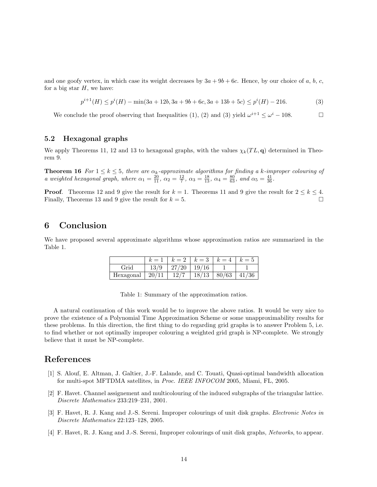and one goofy vertex, in which case its weight decreases by  $3a + 9b + 6c$ . Hence, by our choice of a, b, c, for a big star  $H$ , we have:

$$
p^{i+1}(H) \le p^i(H) - \min(3a + 12b, 3a + 9b + 6c, 3a + 13b + 5c) \le p^i(H) - 216.
$$
 (3)

We conclude the proof observing that Inequalities (1), (2) and (3) yield  $\omega^{i+1} \leq \omega^i - 108$ .

#### 5.2 Hexagonal graphs

We apply Theorems 11, 12 and 13 to hexagonal graphs, with the values  $\chi_k(T_L, \mathbf{q})$  determined in Theorem 9.

**Theorem 16** For  $1 \leq k \leq 5$ , there are  $\alpha_k$ -approximate algorithms for finding a k-improper colouring of *a* weighted hexagonal graph, where  $\alpha_1 = \frac{20}{11}$ ,  $\alpha_2 = \frac{12}{7}$ ,  $\alpha_3 = \frac{18}{13}$ ,  $\alpha_4 = \frac{80}{63}$ , and  $\alpha_5 = \frac{41}{36}$ .

**Proof.** Theorems 12 and 9 give the result for  $k = 1$ . Theorems 11 and 9 give the result for  $2 \le k \le 4$ . Finally, Theorems 13 and 9 give the result for  $k = 5$ .

### 6 Conclusion

We have proposed several approximate algorithms whose approximation ratios are summarized in the Table 1.

|           |           |      | $k=3$ |       |  |
|-----------|-----------|------|-------|-------|--|
| Grid      | 1 ດ<br>ΤO | ້⊿ ເ | 19/   |       |  |
| Hexagonal |           |      | 18/13 | 80/63 |  |

| Table 1: Summary of the approximation ratios. |  |  |  |  |  |  |  |
|-----------------------------------------------|--|--|--|--|--|--|--|
|-----------------------------------------------|--|--|--|--|--|--|--|

A natural continuation of this work would be to improve the above ratios. It would be very nice to prove the existence of a Polynomial Time Approximation Scheme or some unapproximability results for these problems. In this direction, the first thing to do regarding grid graphs is to answer Problem 5, i.e. to find whether or not optimally improper colouring a weighted grid graph is NP-complete. We strongly believe that it must be NP-complete.

#### References

- [1] S. Alouf, E. Altman, J. Galtier, J.-F. Lalande, and C. Touati, Quasi-optimal bandwidth allocation for multi-spot MFTDMA satellites, in *Proc. IEEE INFOCOM* 2005, Miami, FL, 2005.
- [2] F. Havet. Channel assignement and multicolouring of the induced subgraphs of the triangular lattice. *Discrete Mathematics* 233:219–231, 2001.
- [3] F. Havet, R. J. Kang and J.-S. Sereni. Improper colourings of unit disk graphs. *Electronic Notes in Discrete Mathematics* 22:123–128, 2005.
- [4] F. Havet, R. J. Kang and J.-S. Sereni, Improper colourings of unit disk graphs, *Networks*, to appear.